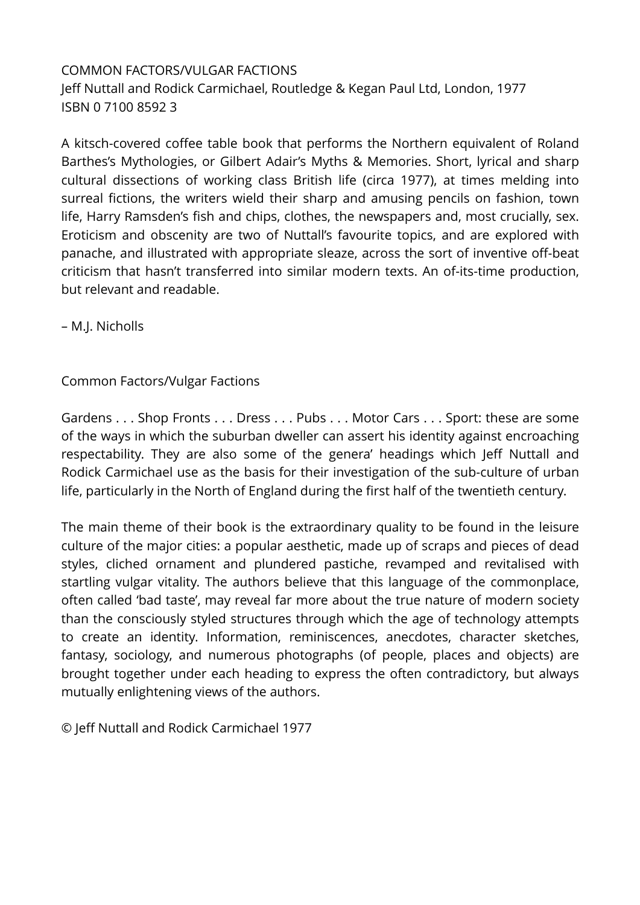## COMMON FACTORS/VULGAR FACTIONS Jeff Nuttall and Rodick Carmichael, Routledge & Kegan Paul Ltd, London, 1977 ISBN 0 7100 8592 3

A kitsch-covered coffee table book that performs the Northern equivalent of Roland Barthes's Mythologies, or Gilbert Adair's Myths & Memories. Short, lyrical and sharp cultural dissections of working class British life (circa 1977), at times melding into surreal fictions, the writers wield their sharp and amusing pencils on fashion, town life, Harry Ramsden's fish and chips, clothes, the newspapers and, most crucially, sex. Eroticism and obscenity are two of Nuttall's favourite topics, and are explored with panache, and illustrated with appropriate sleaze, across the sort of inventive off-beat criticism that hasn't transferred into similar modern texts. An of-its-time production, but relevant and readable.

– M.J. Nicholls

## Common Factors/Vulgar Factions

Gardens . . . Shop Fronts . . . Dress . . . Pubs . . . Motor Cars . . . Sport: these are some of the ways in which the suburban dweller can assert his identity against encroaching respectability. They are also some of the genera' headings which Jeff Nuttall and Rodick Carmichael use as the basis for their investigation of the sub-culture of urban life, particularly in the North of England during the first half of the twentieth century.

The main theme of their book is the extraordinary quality to be found in the leisure culture of the major cities: a popular aesthetic, made up of scraps and pieces of dead styles, cliched ornament and plundered pastiche, revamped and revitalised with startling vulgar vitality. The authors believe that this language of the commonplace, often called 'bad taste', may reveal far more about the true nature of modern society than the consciously styled structures through which the age of technology attempts to create an identity. Information, reminiscences, anecdotes, character sketches, fantasy, sociology, and numerous photographs (of people, places and objects) are brought together under each heading to express the often contradictory, but always mutually enlightening views of the authors.

© Jeff Nuttall and Rodick Carmichael 1977